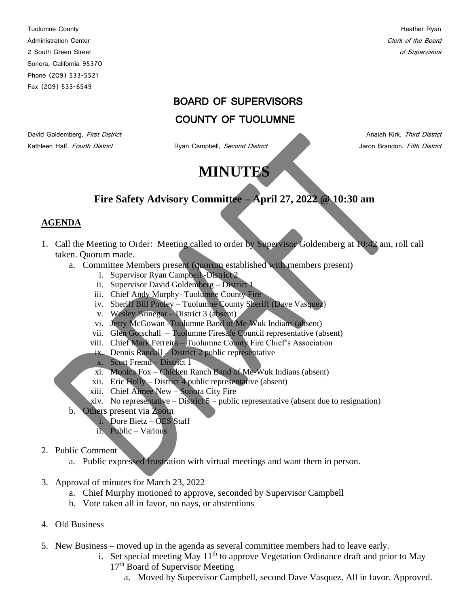Tuolumne County **Heather Ryan** Administration Center Content of the Board Clerk of the Board Clerk of the Board Clerk of the Board Clerk of the Board Clerk of the Board Clerk of the Board Clerk of the Board Clerk of the Board Clerk of the Board Clerk of 2 South Green Street of Supervisors and Supervisors and Supervisors and Supervisors of Supervisors of Supervisors Sonora, California 95370 Phone (209) 533-5521 Fax (209) 533-6549

### BOARD OF SUPERVISORS

## COUNTY OF TUOLUMNE

Kathleen Haff, Fourth District **Ryan Campbell**, Second District **Campbell**, Second District Jaron Brandon, Fifth District

David Goldemberg, First District Anaiah Kirk, Third District Anaiah Kirk, Third District

# **MINUTES**

## **Fire Safety Advisory Committee – April 27, 2022 @ 10:30 am**

#### **AGENDA**

- 1. Call the Meeting to Order: Meeting called to order by Supervisor Goldemberg at 10:42 am, roll call taken. Quorum made.
	- a. Committee Members present (quorum established with members present)
		- i. Supervisor Ryan Campbell -District 2
		- ii. Supervisor David Goldemberg District 1
		- iii. Chief Andy Murphy- Tuolumne County Fire
		- iv. Sheriff Bill Pooley Tuolumne County Sheriff (Dave Vasquez)
		- v. Wesley Brinegar District 3 (absent)
		- vi. Jerry McGowan -Tuolumne Band of Me-Wuk Indians (absent)
		- vii. Glen Gotschall Tuolumne Firesafe Council representative (absent)
		- viii. Chief Mark Ferreira Tuolumne County Fire Chief's Association
		- ix. Dennis Randall District 2 public representative
		- x. Scott Fremd District 1
		- xi. Monica Fox Chicken Ranch Band of Me-Wuk Indians (absent)
		- xii. Eric Holly District 4 public representative (absent)
		- xiii. Chief Aimee New Sonora City Fire
		- xiv. No representative District  $5$  public representative (absent due to resignation)
	- b. Others present via Zoom
		- i. Dore Bietz OES Staff
		- ii. Public Various
- 2. Public Comment
	- a. Public expressed frustration with virtual meetings and want them in person.
- 3. Approval of minutes for March 23, 2022
	- a. Chief Murphy motioned to approve, seconded by Supervisor Campbell
	- b. Vote taken all in favor, no nays, or abstentions
- 4. Old Business
- 5. New Business moved up in the agenda as several committee members had to leave early.
	- i. Set special meeting May  $11<sup>th</sup>$  to approve Vegetation Ordinance draft and prior to May 17<sup>th</sup> Board of Supervisor Meeting
		- a. Moved by Supervisor Campbell, second Dave Vasquez. All in favor. Approved.